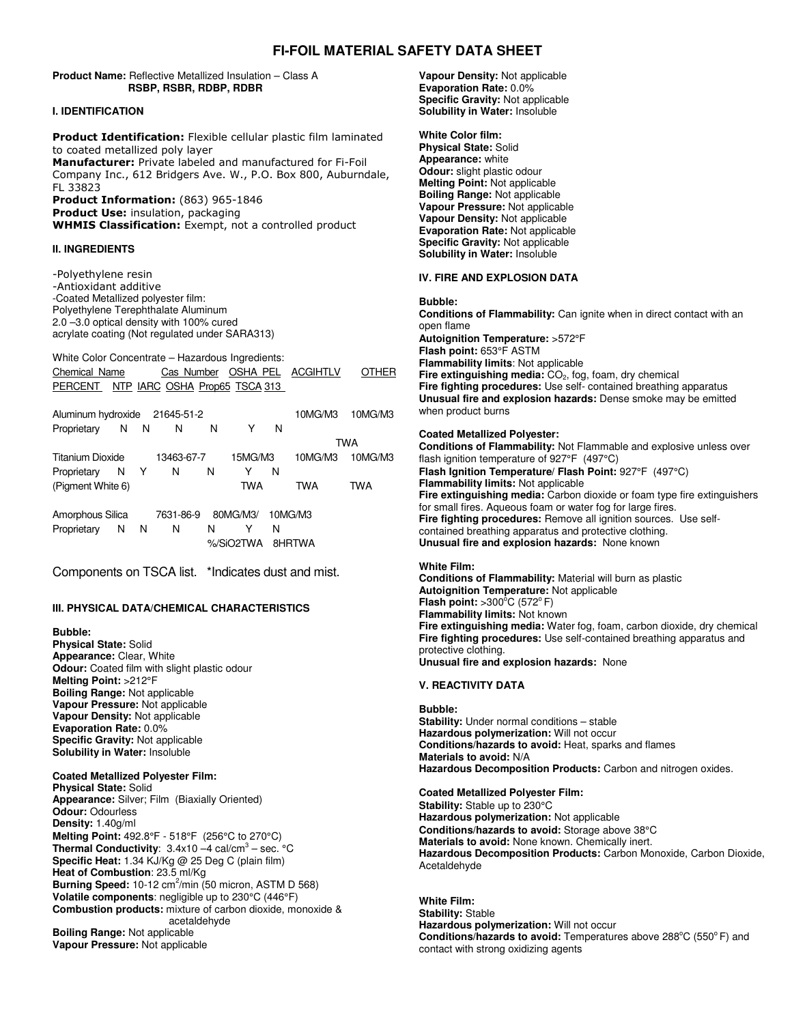# **FI-FOIL MATERIAL SAFETY DATA SHEET**

**Product Name:** Reflective Metallized Insulation – Class A **RSBP, RSBR, RDBP, RDBR**

### **I. IDENTIFICATION**

Product Identification: Flexible cellular plastic film laminated to coated metallized poly layer Manufacturer: Private labeled and manufactured for Fi-Foil Company Inc., 612 Bridgers Ave. W., P.O. Box 800, Auburndale, FL 33823 Product Information: (863) 965-1846

Product Use: insulation, packaging **WHMIS Classification:** Exempt, not a controlled product

# **II. INGREDIENTS**

-Polyethylene resin -Antioxidant additive -Coated Metallized polyester film: Polyethylene Terephthalate Aluminum 2.0 –3.0 optical density with 100% cured acrylate coating (Not regulated under SARA313)

White Color Concentrate – Hazardous Ingredients: Chemical Name Cas Number OSHA PEL ACGIHTLV OTHER PERCENT NTP IARC OSHA Prop65 TSCA 313

| Aluminum hydroxide 21645-51-2 |            |           |   |           |         | 10MG/M3 | 10MG/M3    |
|-------------------------------|------------|-----------|---|-----------|---------|---------|------------|
| Proprietary N N               |            | N N       | N | Y         | N       |         |            |
|                               |            |           |   |           |         |         | <b>TWA</b> |
| Titanium Dioxide              | 13463-67-7 | 15MG/M3   |   | 10MG/M3   | 10MG/M3 |         |            |
| Proprietary N Y               |            | N N       | N | Y         | N       |         |            |
| (Pigment White 6)             |            |           |   | TWA       |         | TWA     | TWA        |
| Amorphous Silica              |            | 7631-86-9 |   | 80MG/M3/  |         | 10MG/M3 |            |
| Proprietary N N               |            | N         | N |           | N       |         |            |
|                               |            |           |   | %/SiO2TWA |         | 8HRTWA  |            |

Components on TSCA list. \*Indicates dust and mist.

# **III. PHYSICAL DATA/CHEMICAL CHARACTERISTICS**

# **Bubble:**

**Physical State:** Solid **Appearance:** Clear, White **Odour:** Coated film with slight plastic odour **Melting Point:** >212°F **Boiling Range:** Not applicable **Vapour Pressure:** Not applicable **Vapour Density:** Not applicable **Evaporation Rate:** 0.0% **Specific Gravity:** Not applicable **Solubility in Water:** Insoluble

# **Coated Metallized Polyester Film:**

**Physical State:** Solid **Appearance:** Silver; Film (Biaxially Oriented) **Odour:** Odourless **Density:** 1.40g/ml **Melting Point:** 492.8°F - 518°F (256°C to 270°C) **Thermal Conductivity**: 3.4x10 –4 cal/cm 3 – sec. °C **Specific Heat:** 1.34 KJ/Kg @ 25 Deg C (plain film) **Heat of Combustion**: 23.5 ml/Kg **Burning Speed:** 10-12 cm 2 /min (50 micron, ASTM D 568) **Volatile components**: negligible up to 230°C (446°F) **Combustion products:** mixture of carbon dioxide, monoxide & acetaldehyde **Boiling Range:** Not applicable **Vapour Pressure:** Not applicable

**Vapour Density:** Not applicable **Evaporation Rate:** 0.0% **Specific Gravity:** Not applicable **Solubility in Water:** Insoluble

**White Color film: Physical State:** Solid **Appearance:** white **Odour:** slight plastic odour **Melting Point:** Not applicable **Boiling Range:** Not applicable **Vapour Pressure:** Not applicable **Vapour Density:** Not applicable **Evaporation Rate:** Not applicable **Specific Gravity:** Not applicable **Solubility in Water:** Insoluble

# **IV. FIRE AND EXPLOSION DATA**

**Bubble:**

**Conditions of Flammability:** Can ignite when in direct contact with an open flame **Autoignition Temperature:** >572°F **Flash point:** 653°F ASTM **Flammability limits**: Not applicable **Fire extinguishing media:** CO<sub>2</sub>, fog, foam, dry chemical **Fire fighting procedures:** Use self- contained breathing apparatus **Unusual fire and explosion hazards:** Dense smoke may be emitted when product burns

### **Coated Metallized Polyester:**

**Conditions of Flammability:** Not Flammable and explosive unless over flash ignition temperature of 927°F (497°C) **Flash Ignition Temperature/ Flash Point:** 927°F (497°C) **Flammability limits:** Not applicable **Fire extinguishing media:** Carbon dioxide or foam type fire extinguishers for small fires. Aqueous foam or water fog for large fires. **Fire fighting procedures:** Remove all ignition sources. Use selfcontained breathing apparatus and protective clothing. **Unusual fire and explosion hazards:** None known

### **White Film:**

**Conditions of Flammability:** Material will burn as plastic **Autoignition Temperature:** Not applicable **Flash point:**  $>300^{\circ}$ C (572 $^{\circ}$  F) **Flammability limits:** Not known **Fire extinguishing media:** Water fog, foam, carbon dioxide, dry chemical **Fire fighting procedures:** Use self-contained breathing apparatus and protective clothing. **Unusual fire and explosion hazards:** None

### **V. REACTIVITY DATA**

**Bubble: Stability:** Under normal conditions – stable **Hazardous polymerization:** Will not occur **Conditions/hazards to avoid:** Heat, sparks and flames **Materials to avoid:** N/A **Hazardous Decomposition Products:** Carbon and nitrogen oxides.

### **Coated Metallized Polyester Film:**

**Stability:** Stable up to 230°C **Hazardous polymerization:** Not applicable **Conditions/hazards to avoid:** Storage above 38°C **Materials to avoid:** None known. Chemically inert. **Hazardous Decomposition Products:** Carbon Monoxide, Carbon Dioxide, Acetaldehyde

**White Film: Stability:** Stable **Hazardous polymerization:** Will not occur **Conditions/hazards to avoid:** Temperatures above 288°C (550°F) and contact with strong oxidizing agents